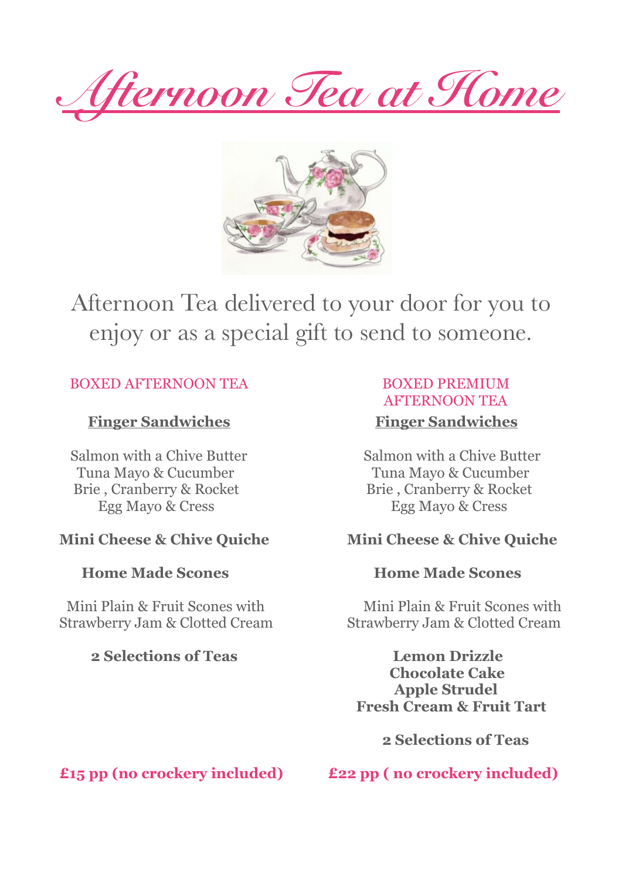*Afternoon Tea at Home*



## Afternoon Tea delivered to your door for you to enjoy or as a special gift to send to someone.

## BOXED AFTERNOON TEA
BOXED PREMIUM

## **Finger Sandwiches** Finger Sandwiches

 Tuna Mayo & Cucumber Tuna Mayo & Cucumber Brie , Cranberry & Rocket Brie , Cranberry & Rocket Egg Mayo & Cress Egg Mayo & Cress

## **2 Selections of Teas Lemon Drizzle**

# AFTERNOON TEA

**Salmon with a Chive Butter Salmon with a Chive Butter Salmon with a Chive Butter** 

## **Mini Cheese & Chive Quiche Mini Cheese & Chive Quiche**

#### **Home Made Scones Community Community** Home Made Scones

**Mini Plain & Fruit Scones with Mini Plain & Fruit Scones with** Strawberry Jam & Clotted Cream Strawberry Jam & Clotted Cream

> **Chocolate Cake Apple Strudel Fresh Cream & Fruit Tart**

> > **2 Selections of Teas**

**£15 pp (no crockery included) £22 pp ( no crockery included)**